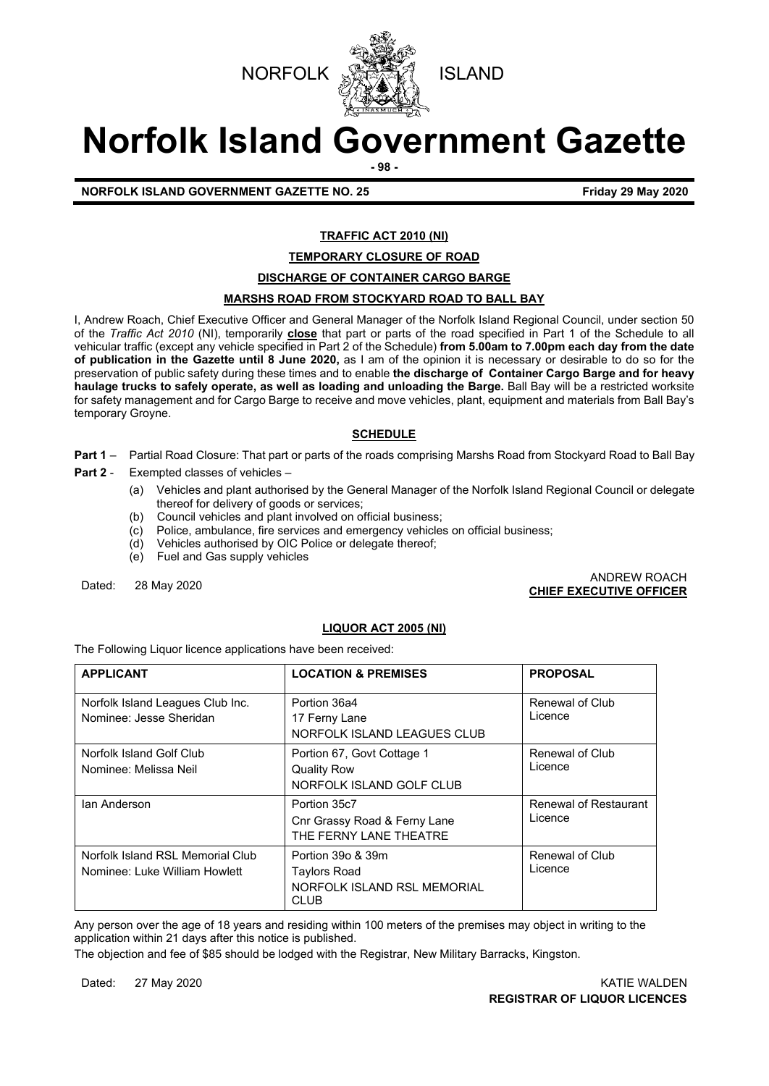



# **Norfolk Island Government Gazette**

**- 98 -**

**NORFOLK ISLAND GOVERNMENT GAZETTE NO. 25 Friday 29 May 2020**

#### **TRAFFIC ACT 2010 (NI)**

#### **TEMPORARY CLOSURE OF ROAD**

#### **DISCHARGE OF CONTAINER CARGO BARGE**

#### **MARSHS ROAD FROM STOCKYARD ROAD TO BALL BAY**

I, Andrew Roach, Chief Executive Officer and General Manager of the Norfolk Island Regional Council, under section 50 of the *Traffic Act 2010* (NI), temporarily **close** that part or parts of the road specified in Part 1 of the Schedule to all vehicular traffic (except any vehicle specified in Part 2 of the Schedule) **from 5.00am to 7.00pm each day from the date of publication in the Gazette until 8 June 2020,** as I am of the opinion it is necessary or desirable to do so for the preservation of public safety during these times and to enable **the discharge of Container Cargo Barge and for heavy haulage trucks to safely operate, as well as loading and unloading the Barge.** Ball Bay will be a restricted worksite for safety management and for Cargo Barge to receive and move vehicles, plant, equipment and materials from Ball Bay's temporary Groyne.

#### **SCHEDULE**

- **Part 1** Partial Road Closure: That part or parts of the roads comprising Marshs Road from Stockyard Road to Ball Bay
- **Part 2** Exempted classes of vehicles
	- (a) Vehicles and plant authorised by the General Manager of the Norfolk Island Regional Council or delegate thereof for delivery of goods or services;
	- (b) Council vehicles and plant involved on official business;
	- (c) Police, ambulance, fire services and emergency vehicles on official business;
	- Vehicles authorised by OIC Police or delegate thereof;
	- (e) Fuel and Gas supply vehicles

Dated: 28 May 2020 ANDREW ROACH **CHIEF EXECUTIVE OFFICER**

#### **LIQUOR ACT 2005 (NI)**

The Following Liquor licence applications have been received:

| <b>APPLICANT</b>                                                  | <b>LOCATION &amp; PREMISES</b>                                                         | <b>PROPOSAL</b>                  |
|-------------------------------------------------------------------|----------------------------------------------------------------------------------------|----------------------------------|
| Norfolk Island Leagues Club Inc.<br>Nominee: Jesse Sheridan       | Portion 36a4<br>17 Ferny Lane<br>NORFOLK ISLAND LEAGUES CLUB                           | Renewal of Club<br>Licence       |
| Norfolk Island Golf Club<br>Nominee: Melissa Neil                 | Portion 67, Govt Cottage 1<br><b>Quality Row</b><br>NORFOLK ISLAND GOLF CLUB           | Renewal of Club<br>Licence       |
| Ian Anderson                                                      | Portion 35c7<br>Cnr Grassy Road & Ferny Lane<br>THE FERNY LANE THEATRE                 | Renewal of Restaurant<br>Licence |
| Norfolk Island RSL Memorial Club<br>Nominee: Luke William Howlett | Portion 39o & 39m<br><b>Taylors Road</b><br>NORFOLK ISLAND RSL MEMORIAL<br><b>CLUB</b> | Renewal of Club<br>Licence       |

Any person over the age of 18 years and residing within 100 meters of the premises may object in writing to the application within 21 days after this notice is published.

The objection and fee of \$85 should be lodged with the Registrar, New Military Barracks, Kingston.

Dated: 27 May 2020 KATIE WALDEN **REGISTRAR OF LIQUOR LICENCES**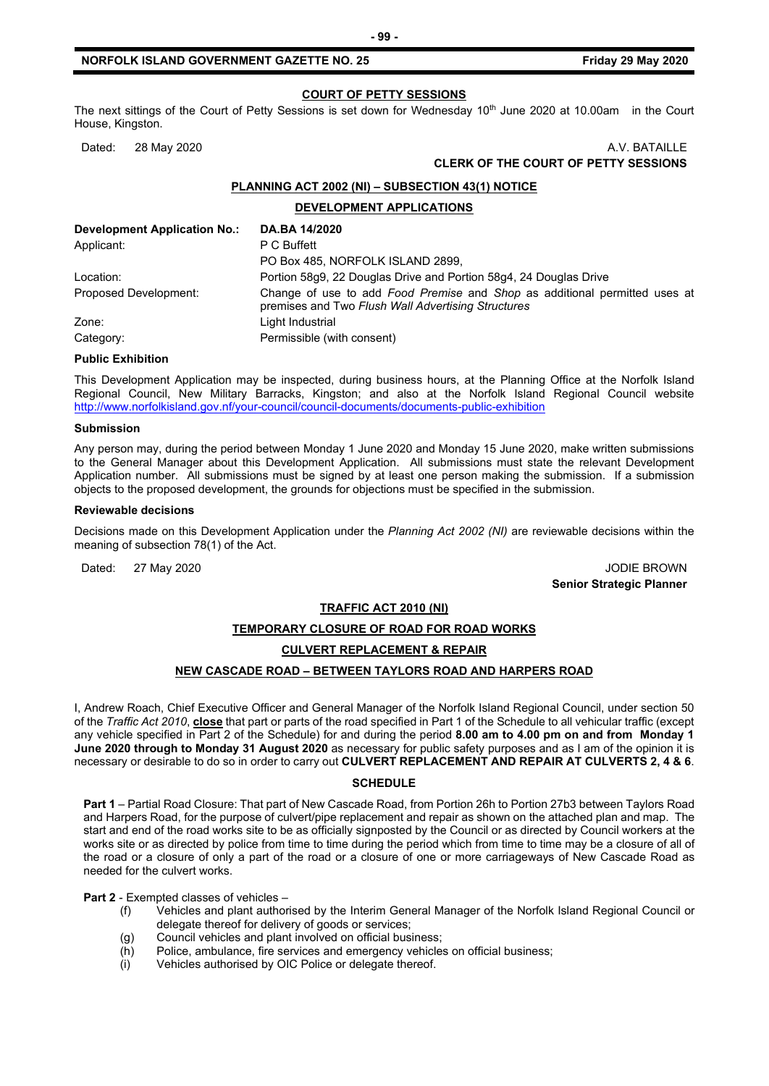The next sittings of the Court of Petty Sessions is set down for Wednesday 10<sup>th</sup> June 2020 at 10.00am in the Court House, Kingston.

#### Dated: 28 May 2020 **A.V. BATAILLE CLERK OF THE COURT OF PETTY SESSIONS**

#### **PLANNING ACT 2002 (NI) – SUBSECTION 43(1) NOTICE**

**DEVELOPMENT APPLICATIONS**

| <b>Development Application No.:</b> | DA.BA 14/2020                                                                                                                    |
|-------------------------------------|----------------------------------------------------------------------------------------------------------------------------------|
| Applicant:                          | P C Buffett                                                                                                                      |
|                                     | PO Box 485, NORFOLK ISLAND 2899,                                                                                                 |
| Location:                           | Portion 58q9, 22 Douglas Drive and Portion 58q4, 24 Douglas Drive                                                                |
| Proposed Development:               | Change of use to add Food Premise and Shop as additional permitted uses at<br>premises and Two Flush Wall Advertising Structures |
| Zone:                               | Light Industrial                                                                                                                 |
| Category:                           | Permissible (with consent)                                                                                                       |

#### **Public Exhibition**

This Development Application may be inspected, during business hours, at the Planning Office at the Norfolk Island Regional Council, New Military Barracks, Kingston; and also at the Norfolk Island Regional Council website <http://www.norfolkisland.gov.nf/your-council/council-documents/documents-public-exhibition>

#### **Submission**

Any person may, during the period between Monday 1 June 2020 and Monday 15 June 2020, make written submissions to the General Manager about this Development Application. All submissions must state the relevant Development Application number. All submissions must be signed by at least one person making the submission. If a submission objects to the proposed development, the grounds for objections must be specified in the submission.

#### **Reviewable decisions**

Decisions made on this Development Application under the *Planning Act 2002 (NI)* are reviewable decisions within the meaning of subsection 78(1) of the Act.

Dated: 27 May 2020 JODIE BROWN **Senior Strategic Planner** 

#### **TRAFFIC ACT 2010 (NI)**

#### **TEMPORARY CLOSURE OF ROAD FOR ROAD WORKS**

#### **CULVERT REPLACEMENT & REPAIR**

#### **NEW CASCADE ROAD – BETWEEN TAYLORS ROAD AND HARPERS ROAD**

I, Andrew Roach, Chief Executive Officer and General Manager of the Norfolk Island Regional Council, under section 50 of the *Traffic Act 2010*, **close** that part or parts of the road specified in Part 1 of the Schedule to all vehicular traffic (except any vehicle specified in Part 2 of the Schedule) for and during the period **8.00 am to 4.00 pm on and from Monday 1 June 2020 through to Monday 31 August 2020** as necessary for public safety purposes and as I am of the opinion it is necessary or desirable to do so in order to carry out **CULVERT REPLACEMENT AND REPAIR AT CULVERTS 2, 4 & 6**.

#### **SCHEDULE**

**Part 1** – Partial Road Closure: That part of New Cascade Road, from Portion 26h to Portion 27b3 between Taylors Road and Harpers Road, for the purpose of culvert/pipe replacement and repair as shown on the attached plan and map. The start and end of the road works site to be as officially signposted by the Council or as directed by Council workers at the works site or as directed by police from time to time during the period which from time to time may be a closure of all of the road or a closure of only a part of the road or a closure of one or more carriageways of New Cascade Road as needed for the culvert works.

#### **Part 2** - Exempted classes of vehicles –

- (f) Vehicles and plant authorised by the Interim General Manager of the Norfolk Island Regional Council or delegate thereof for delivery of goods or services;
- (g) Council vehicles and plant involved on official business;
- (h) Police, ambulance, fire services and emergency vehicles on official business;<br>(i) Vehicles authorised by OIC Police or delegate thereof.
- Vehicles authorised by OIC Police or delegate thereof.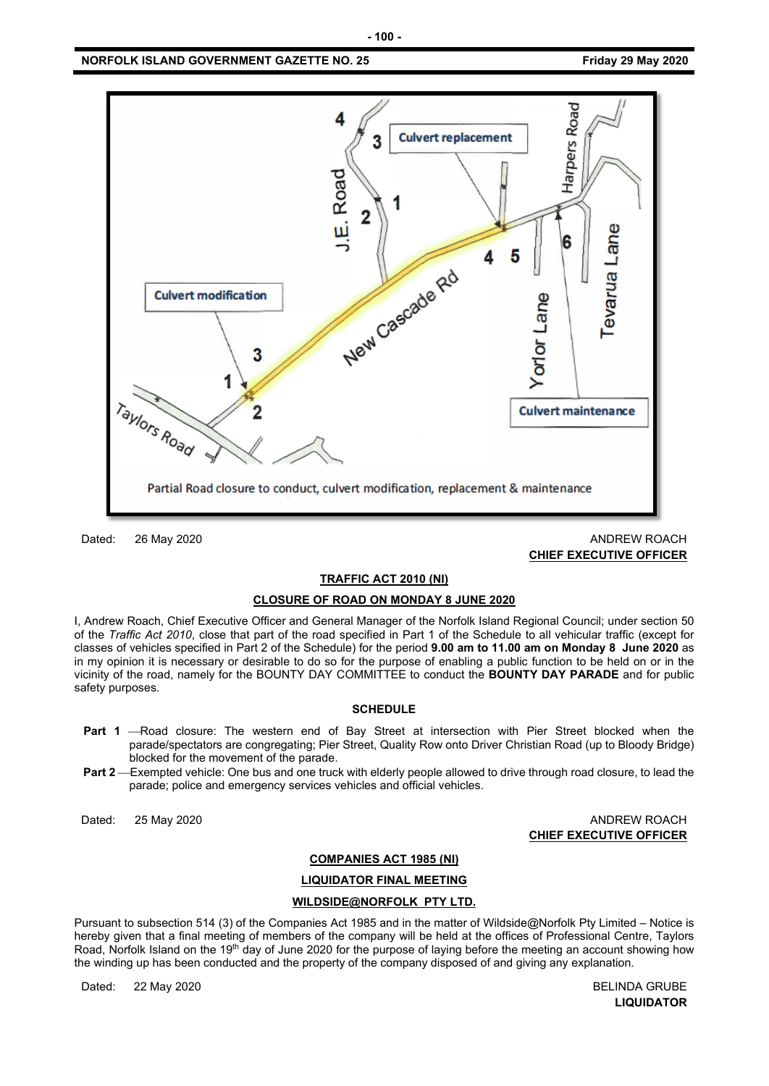

Dated: 26 May 2020 ANDREW ROACH **CHIEF EXECUTIVE OFFICER**

#### **TRAFFIC ACT 2010 (NI)**

#### **CLOSURE OF ROAD ON MONDAY 8 JUNE 2020**

I, Andrew Roach, Chief Executive Officer and General Manager of the Norfolk Island Regional Council; under section 50 of the *Traffic Act 2010*, close that part of the road specified in Part 1 of the Schedule to all vehicular traffic (except for classes of vehicles specified in Part 2 of the Schedule) for the period **9.00 am to 11.00 am on Monday 8 June 2020** as in my opinion it is necessary or desirable to do so for the purpose of enabling a public function to be held on or in the vicinity of the road, namely for the BOUNTY DAY COMMITTEE to conduct the **BOUNTY DAY PARADE** and for public safety purposes.

#### **SCHEDULE**

- **Part 1** -Road closure: The western end of Bay Street at intersection with Pier Street blocked when the parade/spectators are congregating; Pier Street, Quality Row onto Driver Christian Road (up to Bloody Bridge) blocked for the movement of the parade.
- Part 2—Exempted vehicle: One bus and one truck with elderly people allowed to drive through road closure, to lead the parade; police and emergency services vehicles and official vehicles.

Dated: 25 May 2020 ANDREW ROACH **CHIEF EXECUTIVE OFFICER**

#### **COMPANIES ACT 1985 (NI)**

**LIQUIDATOR FINAL MEETING**

#### **WILDSIDE@NORFOLK PTY LTD.**

Pursuant to subsection 514 (3) of the Companies Act 1985 and in the matter of Wildside@Norfolk Pty Limited – Notice is hereby given that a final meeting of members of the company will be held at the offices of Professional Centre, Taylors Road, Norfolk Island on the 19<sup>th</sup> day of June 2020 for the purpose of laying before the meeting an account showing how the winding up has been conducted and the property of the company disposed of and giving any explanation.

Dated: 22 May 2020 BELINDA GRUBE

**LIQUIDATOR**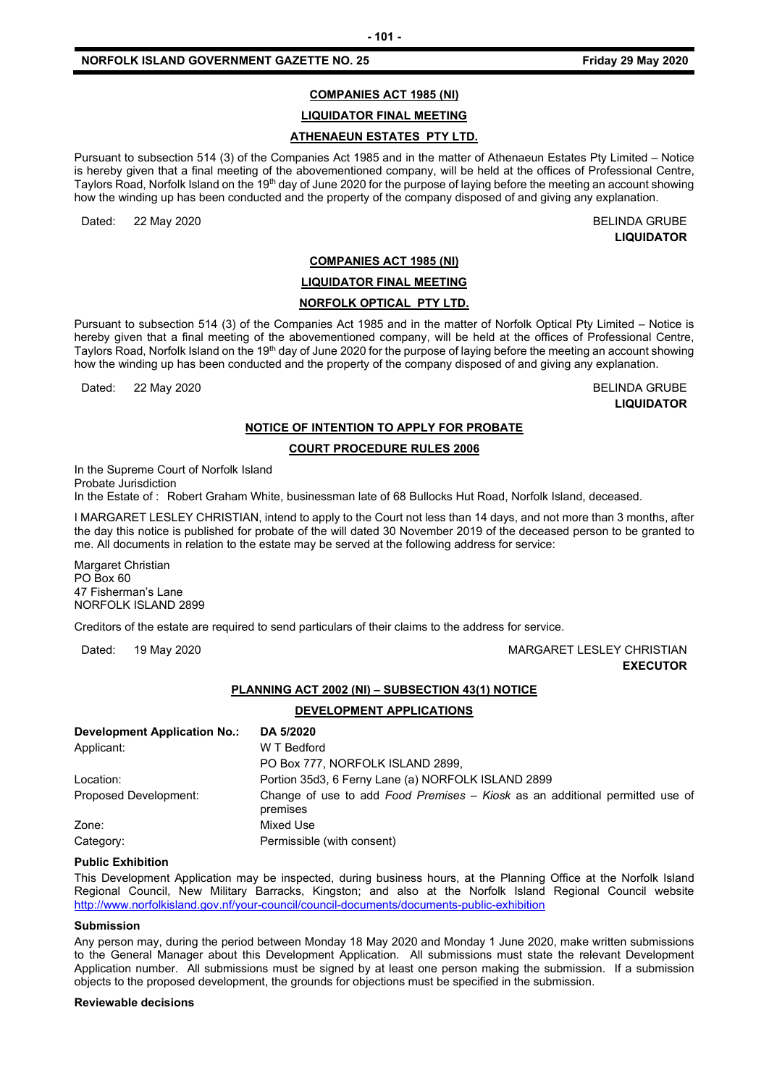#### **COMPANIES ACT 1985 (NI)**

**LIQUIDATOR FINAL MEETING**

#### **ATHENAEUN ESTATES PTY LTD.**

Pursuant to subsection 514 (3) of the Companies Act 1985 and in the matter of Athenaeun Estates Pty Limited – Notice is hereby given that a final meeting of the abovementioned company, will be held at the offices of Professional Centre, Taylors Road, Norfolk Island on the 19<sup>th</sup> day of June 2020 for the purpose of laying before the meeting an account showing how the winding up has been conducted and the property of the company disposed of and giving any explanation.

Dated: 22 May 2020 20 Date of the United States of the United States of the United States of the BELINDA GRUBE

**LIQUIDATOR**

#### **COMPANIES ACT 1985 (NI)**

**LIQUIDATOR FINAL MEETING**

#### **NORFOLK OPTICAL PTY LTD.**

Pursuant to subsection 514 (3) of the Companies Act 1985 and in the matter of Norfolk Optical Pty Limited – Notice is hereby given that a final meeting of the abovementioned company, will be held at the offices of Professional Centre, Taylors Road, Norfolk Island on the 19<sup>th</sup> day of June 2020 for the purpose of laying before the meeting an account showing how the winding up has been conducted and the property of the company disposed of and giving any explanation.

Dated: 22 May 2020 20 Dated: 22 May 2020

**LIQUIDATOR**

#### **NOTICE OF INTENTION TO APPLY FOR PROBATE**

#### **COURT PROCEDURE RULES 2006**

In the Supreme Court of Norfolk Island Probate Jurisdiction

In the Estate of : Robert Graham White, businessman late of 68 Bullocks Hut Road, Norfolk Island, deceased.

I MARGARET LESLEY CHRISTIAN, intend to apply to the Court not less than 14 days, and not more than 3 months, after the day this notice is published for probate of the will dated 30 November 2019 of the deceased person to be granted to me. All documents in relation to the estate may be served at the following address for service:

Margaret Christian PO Box 60 47 Fisherman's Lane NORFOLK ISLAND 2899

Creditors of the estate are required to send particulars of their claims to the address for service.

#### Dated: 19 May 2020 MARGARET LESLEY CHRISTIAN **EXECUTOR**

#### **PLANNING ACT 2002 (NI) – SUBSECTION 43(1) NOTICE**

#### **DEVELOPMENT APPLICATIONS**

| <b>Development Application No.:</b> | DA 5/2020                                                                                |
|-------------------------------------|------------------------------------------------------------------------------------------|
| Applicant:                          | W T Bedford                                                                              |
|                                     | PO Box 777, NORFOLK ISLAND 2899,                                                         |
| Location:                           | Portion 35d3, 6 Ferny Lane (a) NORFOLK ISLAND 2899                                       |
| Proposed Development:               | Change of use to add Food Premises – Kiosk as an additional permitted use of<br>premises |
| Zone:                               | Mixed Use                                                                                |
| Category:                           | Permissible (with consent)                                                               |

#### **Public Exhibition**

This Development Application may be inspected, during business hours, at the Planning Office at the Norfolk Island Regional Council, New Military Barracks, Kingston; and also at the Norfolk Island Regional Council website <http://www.norfolkisland.gov.nf/your-council/council-documents/documents-public-exhibition>

#### **Submission**

Any person may, during the period between Monday 18 May 2020 and Monday 1 June 2020, make written submissions to the General Manager about this Development Application. All submissions must state the relevant Development Application number. All submissions must be signed by at least one person making the submission. If a submission objects to the proposed development, the grounds for objections must be specified in the submission.

#### **Reviewable decisions**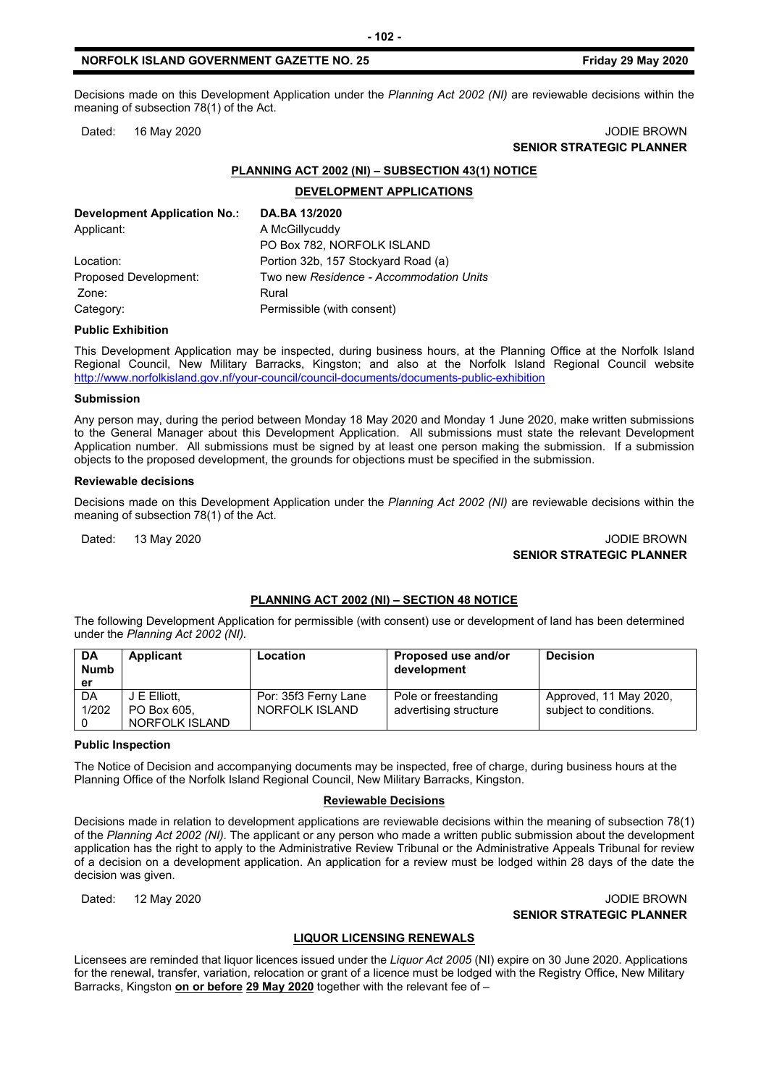#### **NORFOLK ISLAND GOVERNMENT GAZETTE NO. 25 Friday 29 May 2020**

Decisions made on this Development Application under the *Planning Act 2002 (NI)* are reviewable decisions within the meaning of subsection 78(1) of the Act.

Dated: 16 May 2020 **John Communist Communist Communist Communist Communist Communist Communist Communist Communist Communist Communist Communist Communist Communist Communist Communist Communist Communist Communist Communi** 

## **SENIOR STRATEGIC PLANNER**

#### **PLANNING ACT 2002 (NI) – SUBSECTION 43(1) NOTICE**

**DEVELOPMENT APPLICATIONS**

| <b>Development Application No.:</b> | DA.BA 13/2020                           |
|-------------------------------------|-----------------------------------------|
| Applicant:                          | A McGillycuddy                          |
|                                     | PO Box 782, NORFOLK ISLAND              |
| Location:                           | Portion 32b, 157 Stockyard Road (a)     |
| Proposed Development:               | Two new Residence - Accommodation Units |
| Zone:                               | Rural                                   |
| Category:                           | Permissible (with consent)              |

#### **Public Exhibition**

This Development Application may be inspected, during business hours, at the Planning Office at the Norfolk Island Regional Council, New Military Barracks, Kingston; and also at the Norfolk Island Regional Council website <http://www.norfolkisland.gov.nf/your-council/council-documents/documents-public-exhibition>

#### **Submission**

Any person may, during the period between Monday 18 May 2020 and Monday 1 June 2020, make written submissions to the General Manager about this Development Application. All submissions must state the relevant Development Application number. All submissions must be signed by at least one person making the submission. If a submission objects to the proposed development, the grounds for objections must be specified in the submission.

#### **Reviewable decisions**

Decisions made on this Development Application under the *Planning Act 2002 (NI)* are reviewable decisions within the meaning of subsection 78(1) of the Act.

#### Dated: 13 May 2020 **JODIE BROWN SENIOR STRATEGIC PLANNER**

#### **PLANNING ACT 2002 (NI) – SECTION 48 NOTICE**

The following Development Application for permissible (with consent) use or development of land has been determined under the *Planning Act 2002 (NI).*

| <b>DA</b><br><b>Numb</b><br>er | Applicant      | Location             | Proposed use and/or<br>development | <b>Decision</b>        |
|--------------------------------|----------------|----------------------|------------------------------------|------------------------|
| DA                             | J E Elliott.   | Por: 35f3 Ferny Lane | Pole or freestanding               | Approved, 11 May 2020, |
| 1/202                          | PO Box 605.    | NORFOLK ISLAND       | advertising structure              | subject to conditions. |
|                                | NORFOLK ISLAND |                      |                                    |                        |

#### **Public Inspection**

The Notice of Decision and accompanying documents may be inspected, free of charge, during business hours at the Planning Office of the Norfolk Island Regional Council, New Military Barracks, Kingston.

#### **Reviewable Decisions**

Decisions made in relation to development applications are reviewable decisions within the meaning of subsection 78(1) of the *Planning Act 2002 (NI).* The applicant or any person who made a written public submission about the development application has the right to apply to the Administrative Review Tribunal or the Administrative Appeals Tribunal for review of a decision on a development application. An application for a review must be lodged within 28 days of the date the decision was given.

Dated: 12 May 2020 JODIE BROWN **SENIOR STRATEGIC PLANNER** 

#### **LIQUOR LICENSING RENEWALS**

Licensees are reminded that liquor licences issued under the *Liquor Act 2005* (NI) expire on 30 June 2020. Applications for the renewal, transfer, variation, relocation or grant of a licence must be lodged with the Registry Office, New Military Barracks, Kingston **on or before 29 May 2020** together with the relevant fee of –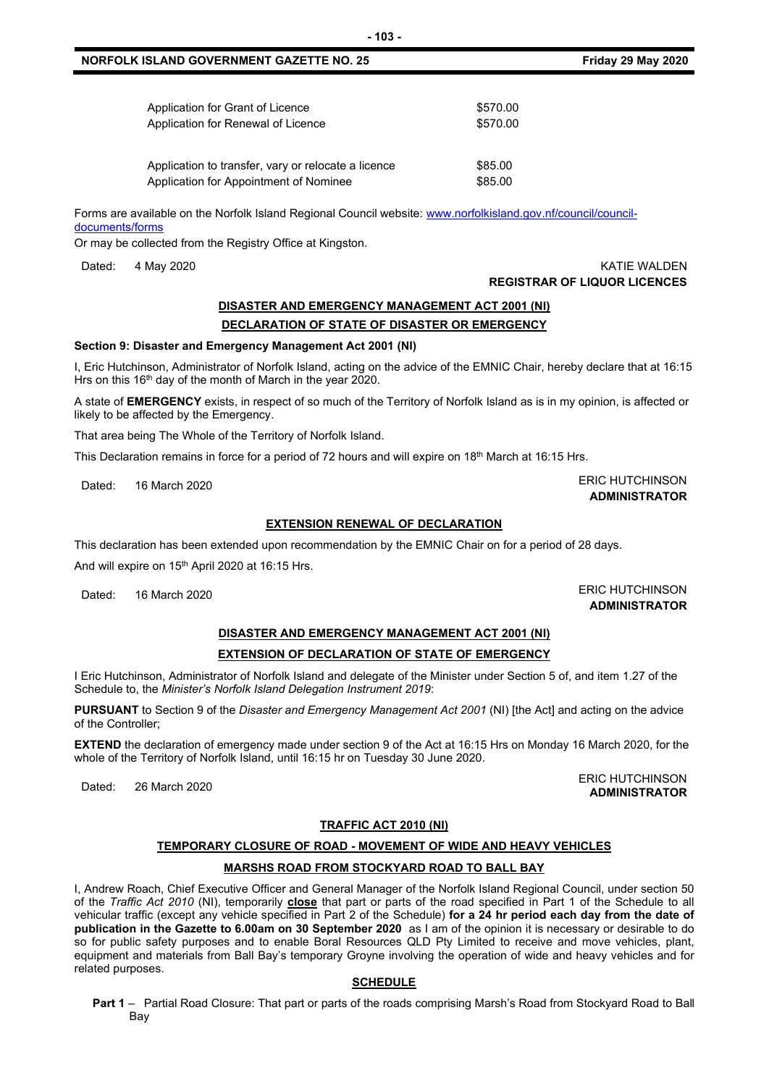#### **NORFOLK ISLAND GOVERNMENT GAZETTE NO. 25 Friday 29 May 2020**

| Application for Grant of Licence                    | \$570.00 |
|-----------------------------------------------------|----------|
| Application for Renewal of Licence                  | \$570.00 |
| Application to transfer, vary or relocate a licence | \$85.00  |
| Application for Appointment of Nominee              | \$85.00  |

Forms are available on the Norfolk Island Regional Council website: [www.norfolkisland.gov.nf/council/council](http://www.norfolkisland.gov.nf/council/council-documents/forms)[documents/forms](http://www.norfolkisland.gov.nf/council/council-documents/forms)

Or may be collected from the Registry Office at Kingston.

### **DISASTER AND EMERGENCY MANAGEMENT ACT 2001 (NI) DECLARATION OF STATE OF DISASTER OR EMERGENCY**

#### **Section 9: Disaster and Emergency Management Act 2001 (NI)**

I, Eric Hutchinson, Administrator of Norfolk Island, acting on the advice of the EMNIC Chair, hereby declare that at 16:15 Hrs on this  $16<sup>th</sup>$  day of the month of March in the year 2020.

A state of **EMERGENCY** exists, in respect of so much of the Territory of Norfolk Island as is in my opinion, is affected or likely to be affected by the Emergency.

That area being The Whole of the Territory of Norfolk Island.

This Declaration remains in force for a period of 72 hours and will expire on 18<sup>th</sup> March at 16:15 Hrs.

#### **EXTENSION RENEWAL OF DECLARATION**

This declaration has been extended upon recommendation by the EMNIC Chair on for a period of 28 days.

And will expire on 15<sup>th</sup> April 2020 at 16:15 Hrs.

### **DISASTER AND EMERGENCY MANAGEMENT ACT 2001 (NI)**

#### **EXTENSION OF DECLARATION OF STATE OF EMERGENCY**

I Eric Hutchinson, Administrator of Norfolk Island and delegate of the Minister under Section 5 of, and item 1.27 of the Schedule to, the *Minister's Norfolk Island Delegation Instrument 2019*:

**PURSUANT** to Section 9 of the *Disaster and Emergency Management Act 2001* (NI) [the Act] and acting on the advice of the Controller;

**EXTEND** the declaration of emergency made under section 9 of the Act at 16:15 Hrs on Monday 16 March 2020, for the whole of the Territory of Norfolk Island, until 16:15 hr on Tuesday 30 June 2020.

#### **TRAFFIC ACT 2010 (NI)**

#### **TEMPORARY CLOSURE OF ROAD - MOVEMENT OF WIDE AND HEAVY VEHICLES**

#### **MARSHS ROAD FROM STOCKYARD ROAD TO BALL BAY**

I, Andrew Roach, Chief Executive Officer and General Manager of the Norfolk Island Regional Council, under section 50 of the *Traffic Act 2010* (NI), temporarily **close** that part or parts of the road specified in Part 1 of the Schedule to all vehicular traffic (except any vehicle specified in Part 2 of the Schedule) **for a 24 hr period each day from the date of publication in the Gazette to 6.00am on 30 September 2020** as I am of the opinion it is necessary or desirable to do so for public safety purposes and to enable Boral Resources QLD Pty Limited to receive and move vehicles, plant, equipment and materials from Ball Bay's temporary Groyne involving the operation of wide and heavy vehicles and for related purposes.

#### **SCHEDULE**

**Part 1** – Partial Road Closure: That part or parts of the roads comprising Marsh's Road from Stockyard Road to Ball Bay

Dated: 4 May 2020 KATIE WALDEN **REGISTRAR OF LIQUOR LICENCES**

#### Dated: 16 March 2020 **ERIC HUTCHINSON ADMINISTRATOR**

Dated: 16 March 2020 ERIC HUTCHINSON **ADMINISTRATOR**

Dated: 26 March 2020<br>Dated: 26 March 2020 **ADMINISTRATOR**